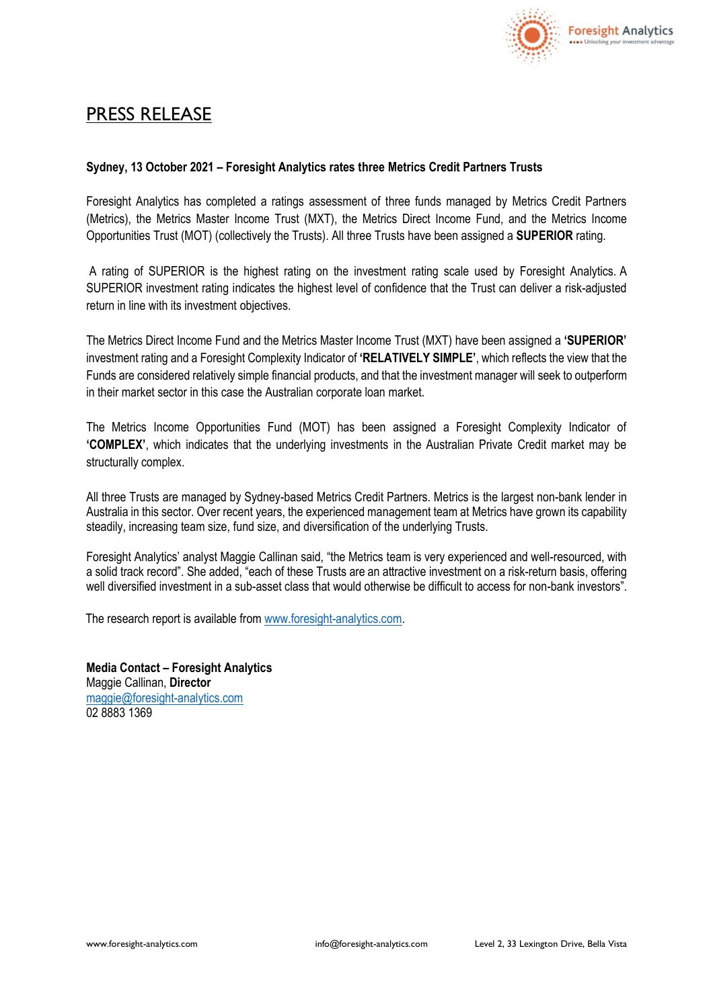

## PRESS RELEASE

## **Sydney, 13 October 2021 – Foresight Analytics rates three Metrics Credit Partners Trusts**

Foresight Analytics has completed a ratings assessment of three funds managed by Metrics Credit Partners (Metrics), the Metrics Master Income Trust (MXT), the Metrics Direct Income Fund, and the Metrics Income Opportunities Trust (MOT) (collectively the Trusts). All three Trusts have been assigned a **SUPERIOR** rating.

A rating of SUPERIOR is the highest rating on the investment rating scale used by Foresight Analytics. A SUPERIOR investment rating indicates the highest level of confidence that the Trust can deliver a risk-adjusted return in line with its investment objectives.

The Metrics Direct Income Fund and the Metrics Master Income Trust (MXT) have been assigned a **'SUPERIOR'** investment rating and a Foresight Complexity Indicator of **'RELATIVELY SIMPLE'**, which reflects the view that the Funds are considered relatively simple financial products, and that the investment manager will seek to outperform in their market sector in this case the Australian corporate loan market.

The Metrics Income Opportunities Fund (MOT) has been assigned a Foresight Complexity Indicator of **'COMPLEX'**, which indicates that the underlying investments in the Australian Private Credit market may be structurally complex.

All three Trusts are managed by Sydney-based Metrics Credit Partners. Metrics is the largest non-bank lender in Australia in this sector. Over recent years, the experienced management team at Metrics have grown its capability steadily, increasing team size, fund size, and diversification of the underlying Trusts.

Foresight Analytics' analyst Maggie Callinan said, "the Metrics team is very experienced and well-resourced, with a solid track record". She added, "each of these Trusts are an attractive investment on a risk-return basis, offering well diversified investment in a sub-asset class that would otherwise be difficult to access for non-bank investors".

The research report is available from [www.foresight-analytics.com.](http://www.foresight-analytics.com/)

**Media Contact – Foresight Analytics** Maggie Callinan, **Director** [maggie@foresight-analytics.com](mailto:maggie@foresight-analytics.com) 02 8883 1369